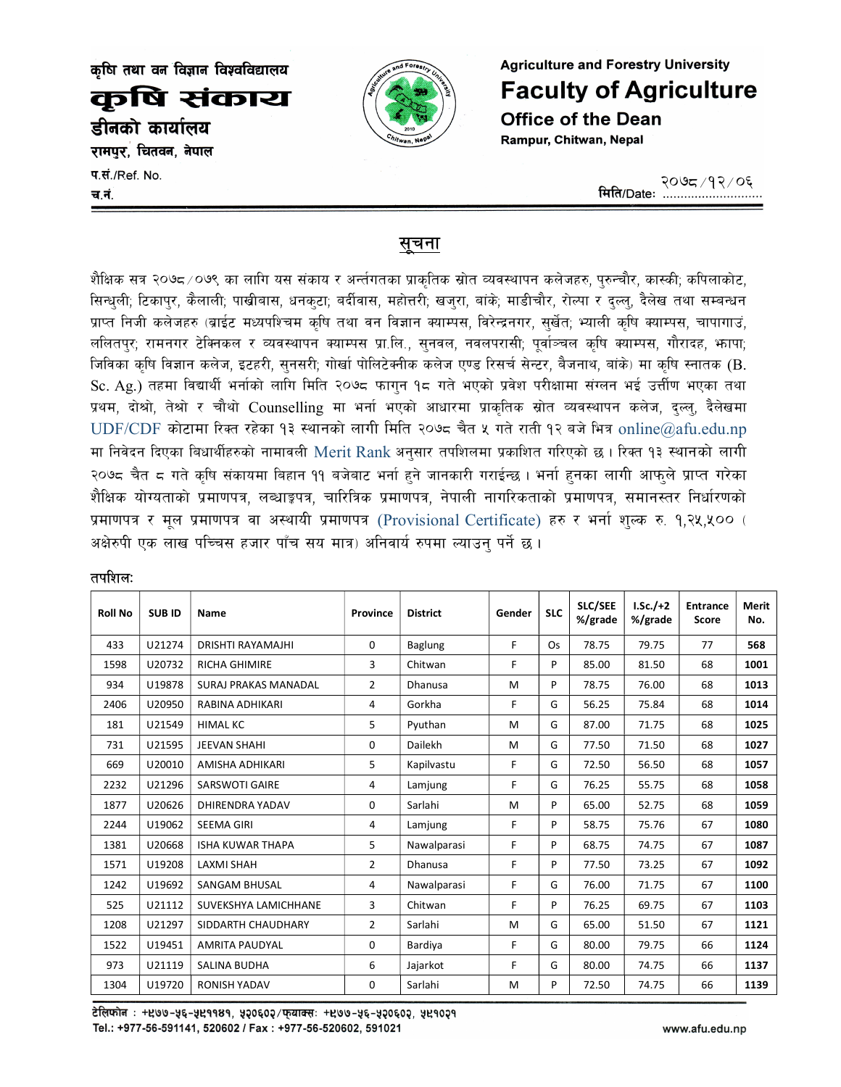कषि तथा वन विज्ञान विश्वविद्यालय

कषि संकाय डीनको कार्यालय

रामपुर, चितवन, नेपाल

प.सं./Ref. No. च.नं



**Agriculture and Forestry University Faculty of Agriculture Office of the Dean** Rampur, Chitwan, Nepal

## सुचना

शैक्षिक सत्र २०७८/०७९ का लागि यस संकाय र अर्न्तगतका प्राकृतिक स्रोत व्यवस्थापन कलेजहरु, पुरुन्चौर, कास्की; कपिलाकोट, सिन्धली; टिकाप्र, कैलाली; पाखीबास, धनक्टा; बर्दीवास, महोत्तरी; खज्**रा, बांके; माडीचौर, रोल्पा र द्ल्ल्, दैले**ख तथा सम्बन्धन प्राप्त निजी कलेजहरु (ब्राईट मध्यपश्चिम कृषि तथा वन विज्ञान क्याम्पस, विरेन्द्रनगर, सुर्खेत; भ्याली कृषि क्याम्पस, चापागाउं, ललितपुर; रामनगर टेक्निकल र व्यवस्थापन क्याम्पस प्रा.लि., सुनवल, नवलपरासी; पुर्वाञ्चल कृषि क्याम्पस, गौरादह, भापा; जिविका कृषि विज्ञान कलेज, इटहरी, सुनसरी; गोर्खा पोलिटेक्नीक कलेज एण्ड रिसर्च सेन्टर, बैजनाथ, बांके) मा कृषि स्नातक (B. Sc. Ag.) तहमा विद्यार्थी भर्नाको लागि मिति २०७८ फागुन १८ गते भएको प्रवेश परीक्षामा संग्लन भई उत्तीण भएका तथा प्रथम, दोश्रो, तेश्रो र चौथो Counselling मा भर्ना भएको आधारमा प्राकृतिक स्रोत व्यवस्थापन कलेज, दुल्लु, दैलेखमा  $UDF/CDF$  कोटामा रिक्त रहेका १३ स्थानको लागी मिति २०७८ चैत ५ गते राती १२ बजे भित्र online@afu.edu.np मा निवेदन दिएका बिधार्थीहरुको नामावली Merit Rank अनुसार तपशिलमा प्रकाशित गरिएको छ । रिक्त १३ स्थानको लागी २०७८ चैत ८ गते कृषि संकायमा बिहान ११ बजेबाट भर्ना हुने जानकारी गराईन्छ । भर्ना हुनका लागी आफुले प्राप्त गरेका शैक्षिक योग्यताको प्रमाणपत्र, लब्धाङ्कपत्र, चारित्रिक प्रमाणपत्र, नेपाली नागरिकताको प्रमाणपत्र, समानस्तर निर्धारणको प्रमाणपत्र र मूल प्रमाणपत्र वा अस्थायी प्रमाणपत्र (Provisional Certificate) हरु र भर्ना शुल्क रु. १,२५,५०० ( अक्षेरुपी एक लाख पच्चिस हजार पाँच सय मात्र) अनिवार्य रुपमा ल्याउन पर्ने छ।

| <b>Roll No</b> | <b>SUBID</b> | Name                        | Province       | <b>District</b> | Gender | <b>SLC</b> | <b>SLC/SEE</b><br>%/grade | $I.Sc./+2$<br>%/grade | <b>Entrance</b><br><b>Score</b> | <b>Merit</b><br>No. |
|----------------|--------------|-----------------------------|----------------|-----------------|--------|------------|---------------------------|-----------------------|---------------------------------|---------------------|
| 433            | U21274       | DRISHTI RAYAMAJHI           | 0              | Baglung         | F      | Os         | 78.75                     | 79.75                 | 77                              | 568                 |
| 1598           | U20732       | <b>RICHA GHIMIRE</b>        | 3              | Chitwan         | F      | P          | 85.00                     | 81.50                 | 68                              | 1001                |
| 934            | U19878       | <b>SURAJ PRAKAS MANADAL</b> | $\overline{2}$ | Dhanusa         | M      | P          | 78.75                     | 76.00                 | 68                              | 1013                |
| 2406           | U20950       | RABINA ADHIKARI             | 4              | Gorkha          | F      | G          | 56.25                     | 75.84                 | 68                              | 1014                |
| 181            | U21549       | <b>HIMAL KC</b>             | 5              | Pvuthan         | M      | G          | 87.00                     | 71.75                 | 68                              | 1025                |
| 731            | U21595       | <b>JEEVAN SHAHI</b>         | 0              | Dailekh         | M      | G          | 77.50                     | 71.50                 | 68                              | 1027                |
| 669            | U20010       | AMISHA ADHIKARI             | 5              | Kapilvastu      | F      | G          | 72.50                     | 56.50                 | 68                              | 1057                |
| 2232           | U21296       | <b>SARSWOTI GAIRE</b>       | 4              | Lamjung         | F      | G          | 76.25                     | 55.75                 | 68                              | 1058                |
| 1877           | U20626       | <b>DHIRENDRA YADAV</b>      | 0              | Sarlahi         | M      | P          | 65.00                     | 52.75                 | 68                              | 1059                |
| 2244           | U19062       | <b>SEEMA GIRI</b>           | 4              | Lamjung         | F      | P          | 58.75                     | 75.76                 | 67                              | 1080                |
| 1381           | U20668       | <b>ISHA KUWAR THAPA</b>     | 5              | Nawalparasi     | F      | P          | 68.75                     | 74.75                 | 67                              | 1087                |
| 1571           | U19208       | <b>LAXMI SHAH</b>           | $\overline{2}$ | Dhanusa         | F      | P          | 77.50                     | 73.25                 | 67                              | 1092                |
| 1242           | U19692       | <b>SANGAM BHUSAL</b>        | 4              | Nawalparasi     | F      | G          | 76.00                     | 71.75                 | 67                              | 1100                |
| 525            | U21112       | SUVEKSHYA LAMICHHANE        | 3              | Chitwan         | F      | P          | 76.25                     | 69.75                 | 67                              | 1103                |
| 1208           | U21297       | SIDDARTH CHAUDHARY          | $\overline{2}$ | Sarlahi         | M      | G          | 65.00                     | 51.50                 | 67                              | 1121                |
| 1522           | U19451       | <b>AMRITA PAUDYAL</b>       | 0              | Bardiya         | F      | G          | 80.00                     | 79.75                 | 66                              | 1124                |
| 973            | U21119       | <b>SALINA BUDHA</b>         | 6              | Jajarkot        | F      | G          | 80.00                     | 74.75                 | 66                              | 1137                |
| 1304           | U19720       | <b>RONISH YADAV</b>         | 0              | Sarlahi         | М      | P          | 72.50                     | 74.75                 | 66                              | 1139                |

## तपशिल:

टेलिफोन: + 209-५६-५२११४१, ५२०६०२/फ्याक्स: + २७७-५६-५२०६०२, ५२१०२१ Tel.: +977-56-591141, 520602 / Fax: +977-56-520602, 591021